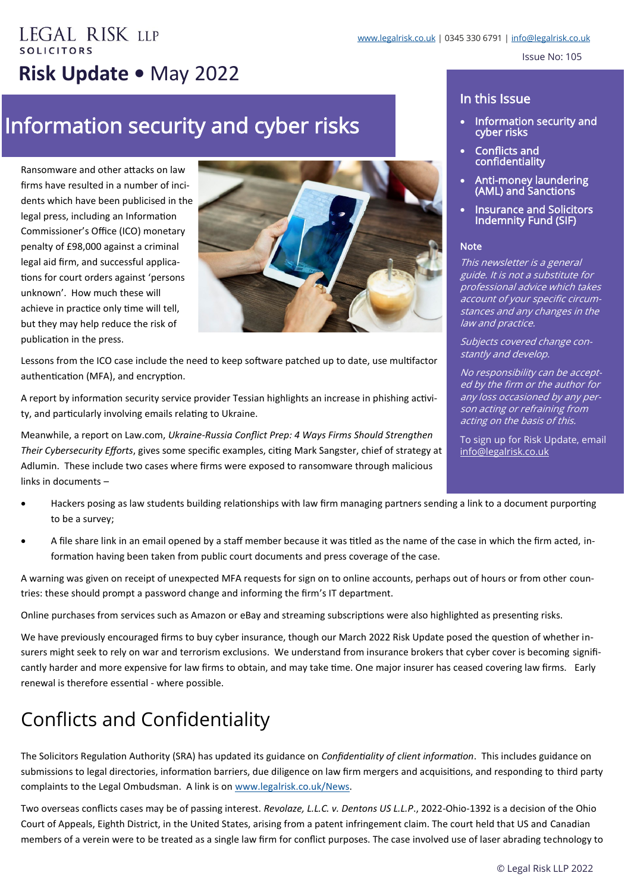Issue No: 105

# **EGAL RISK LLP Risk Update •** May 2022

## Information security and cyber risks

Ransomware and other attacks on law firms have resulted in a number of incidents which have been publicised in the legal press, including an Information Commissioner's Office (ICO) monetary penalty of £98,000 against a criminal legal aid firm, and successful applications for court orders against 'persons unknown'. How much these will achieve in practice only time will tell, but they may help reduce the risk of publication in the press.



Lessons from the ICO case include the need to keep software patched up to date, use multifactor authentication (MFA), and encryption.

A report by information security service provider Tessian highlights an increase in phishing activity, and particularly involving emails relating to Ukraine.

Meanwhile, a report on Law.com, *Ukraine-Russia Conflict Prep: 4 Ways Firms Should Strengthen Their Cybersecurity Efforts*, gives some specific examples, citing Mark Sangster, chief of strategy at Adlumin. These include two cases where firms were exposed to ransomware through malicious links in documents –

#### • Hackers posing as law students building relationships with law firm managing partners sending a link to a document purporting to be a survey;

• A file share link in an email opened by a staff member because it was titled as the name of the case in which the firm acted, information having been taken from public court documents and press coverage of the case.

A warning was given on receipt of unexpected MFA requests for sign on to online accounts, perhaps out of hours or from other countries: these should prompt a password change and informing the firm's IT department.

Online purchases from services such as Amazon or eBay and streaming subscriptions were also highlighted as presenting risks.

We have previously encouraged firms to buy cyber insurance, though our March 2022 Risk Update posed the question of whether insurers might seek to rely on war and terrorism exclusions. We understand from insurance brokers that cyber cover is becoming significantly harder and more expensive for law firms to obtain, and may take time. One major insurer has ceased covering law firms. Early renewal is therefore essential - where possible.

### Conflicts and Confidentiality

The Solicitors Regulation Authority (SRA) has updated its guidance on *Confidentiality of client information*. This includes guidance on submissions to legal directories, information barriers, due diligence on law firm mergers and acquisitions, and responding to third party complaints to the Legal Ombudsman. A link is on [www.legalrisk.co.uk/News.](http://www.legalrisk.co.uk/News)

Two overseas conflicts cases may be of passing interest. *Revolaze, L.L.C. v. Dentons US L.L.P*., 2022-Ohio-1392 is a decision of the Ohio Court of Appeals, Eighth District, in the United States, arising from a patent infringement claim. The court held that US and Canadian members of a verein were to be treated as a single law firm for conflict purposes. The case involved use of laser abrading technology to

#### In this Issue

- Information security and cyber risks
- Conflicts and confidentiality
- Anti-money laundering (AML) and Sanctions
- **Insurance and Solicitors** Indemnity Fund (SIF)

#### **Note**

This newsletter is a general guide. It is not a substitute for professional advice which takes account of your specific circumstances and any changes in the law and practice.

Subjects covered change constantly and develop.

No responsibility can be accepted by the firm or the author for any loss occasioned by any person acting or refraining from acting on the basis of this.

To sign up for Risk Update, email [info@legalrisk.co.uk](mailto:info@legalrisk.co.uk)